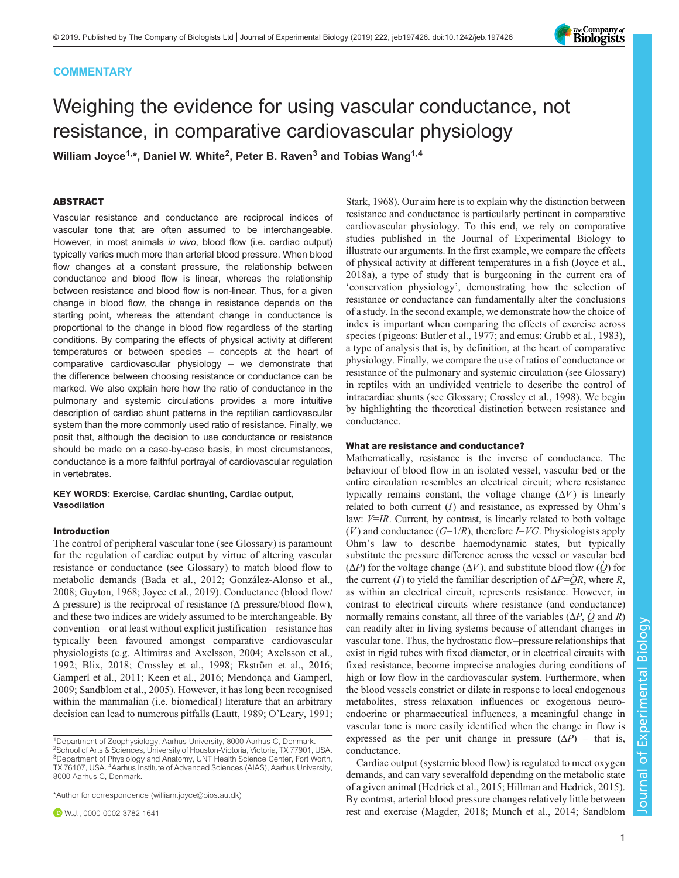# **COMMENTARY**

# Weighing the evidence for using vascular conductance, not resistance, in comparative cardiovascular physiology

William Joyce $^{\mathsf{1},\star}$ , Daniel W. White $^{\mathsf{2}},$  Peter B. Raven $^{\mathsf{3}}$  and Tobias Wang $^{\mathsf{1},\mathsf{4}}$ 

# ABSTRACT

Vascular resistance and conductance are reciprocal indices of vascular tone that are often assumed to be interchangeable. However, in most animals in vivo, blood flow (i.e. cardiac output) typically varies much more than arterial blood pressure. When blood flow changes at a constant pressure, the relationship between conductance and blood flow is linear, whereas the relationship between resistance and blood flow is non-linear. Thus, for a given change in blood flow, the change in resistance depends on the starting point, whereas the attendant change in conductance is proportional to the change in blood flow regardless of the starting conditions. By comparing the effects of physical activity at different temperatures or between species – concepts at the heart of comparative cardiovascular physiology – we demonstrate that the difference between choosing resistance or conductance can be marked. We also explain here how the ratio of conductance in the pulmonary and systemic circulations provides a more intuitive description of cardiac shunt patterns in the reptilian cardiovascular system than the more commonly used ratio of resistance. Finally, we posit that, although the decision to use conductance or resistance should be made on a case-by-case basis, in most circumstances, conductance is a more faithful portrayal of cardiovascular regulation in vertebrates.

# KEY WORDS: Exercise, Cardiac shunting, Cardiac output, Vasodilation

## Introduction

The control of peripheral vascular tone (see Glossary) is paramount for the regulation of cardiac output by virtue of altering vascular resistance or conductance (see Glossary) to match blood flow to metabolic demands [\(Bada et al., 2012](#page-4-0); [González-Alonso et al.,](#page-4-0) [2008](#page-4-0); [Guyton, 1968; Joyce et al., 2019](#page-4-0)). Conductance (blood flow/  $\Delta$  pressure) is the reciprocal of resistance ( $\Delta$  pressure/blood flow), and these two indices are widely assumed to be interchangeable. By convention – or at least without explicit justification – resistance has typically been favoured amongst comparative cardiovascular physiologists (e.g. [Altimiras and Axelsson, 2004; Axelsson et al.,](#page-4-0) [1992](#page-4-0); [Blix, 2018; Crossley et al., 1998](#page-4-0); [Ekström et al., 2016](#page-4-0); [Gamperl et al., 2011](#page-4-0); [Keen et al., 2016](#page-4-0); [Mendonça and Gamperl,](#page-4-0) [2009](#page-4-0); [Sandblom et al., 2005](#page-4-0)). However, it has long been recognised within the mammalian (i.e. biomedical) literature that an arbitrary decision can lead to numerous pitfalls [\(Lautt, 1989;](#page-4-0) O'[Leary, 1991](#page-4-0);

\*Author for correspondence [\(william.joyce@bios.au.dk\)](mailto:william.joyce@bios.au.dk)

[Stark, 1968](#page-4-0)). Our aim here is to explain why the distinction between resistance and conductance is particularly pertinent in comparative cardiovascular physiology. To this end, we rely on comparative studies published in the Journal of Experimental Biology to illustrate our arguments. In the first example, we compare the effects of physical activity at different temperatures in a fish ([Joyce et al.,](#page-4-0) [2018a](#page-4-0)), a type of study that is burgeoning in the current era of 'conservation physiology', demonstrating how the selection of resistance or conductance can fundamentally alter the conclusions of a study. In the second example, we demonstrate how the choice of index is important when comparing the effects of exercise across species (pigeons: [Butler et al., 1977](#page-4-0); and emus: [Grubb et al., 1983\)](#page-4-0), a type of analysis that is, by definition, at the heart of comparative physiology. Finally, we compare the use of ratios of conductance or resistance of the pulmonary and systemic circulation (see Glossary) in reptiles with an undivided ventricle to describe the control of intracardiac shunts (see Glossary; [Crossley et al., 1998](#page-4-0)). We begin by highlighting the theoretical distinction between resistance and conductance.

## What are resistance and conductance?

Mathematically, resistance is the inverse of conductance. The behaviour of blood flow in an isolated vessel, vascular bed or the entire circulation resembles an electrical circuit; where resistance typically remains constant, the voltage change  $(\Delta V)$  is linearly related to both current  $(I)$  and resistance, as expressed by Ohm's law:  $V=IR$ . Current, by contrast, is linearly related to both voltage  $(V)$  and conductance  $(G=1/R)$ , therefore  $I=VG$ . Physiologists apply Ohm's law to describe haemodynamic states, but typically substitute the pressure difference across the vessel or vascular bed  $(\Delta P)$  for the voltage change  $(\Delta V)$ , and substitute blood flow  $(Q)$  for the current (I) to yield the familiar description of  $\Delta P = QR$ , where R, as within an electrical circuit, represents resistance. However, in contrast to electrical circuits where resistance (and conductance) normally remains constant, all three of the variables  $(\Delta P, Q \text{ and } R)$ can readily alter in living systems because of attendant changes in vascular tone. Thus, the hydrostatic flow–pressure relationships that exist in rigid tubes with fixed diameter, or in electrical circuits with fixed resistance, become imprecise analogies during conditions of high or low flow in the cardiovascular system. Furthermore, when the blood vessels constrict or dilate in response to local endogenous metabolites, stress–relaxation influences or exogenous neuroendocrine or pharmaceutical influences, a meaningful change in vascular tone is more easily identified when the change in flow is expressed as the per unit change in pressure  $(\Delta P)$  – that is, conductance.

Cardiac output (systemic blood flow) is regulated to meet oxygen demands, and can vary severalfold depending on the metabolic state of a given animal [\(Hedrick et al., 2015; Hillman and Hedrick, 2015\)](#page-4-0). By contrast, arterial blood pressure changes relatively little between rest and exercise [\(Magder, 2018; Munch et al., 2014](#page-4-0); [Sandblom](#page-4-0)



<sup>&</sup>lt;sup>1</sup>Department of Zoophysiology, Aarhus University, 8000 Aarhus C, Denmark. 2 School of Arts & Sciences, University of Houston-Victoria, Victoria, TX 77901, USA. 3 Department of Physiology and Anatomy, UNT Health Science Center, Fort Worth, TX 76107, USA. 4Aarhus Institute of Advanced Sciences (AIAS), Aarhus University, 8000 Aarhus C, Denmark.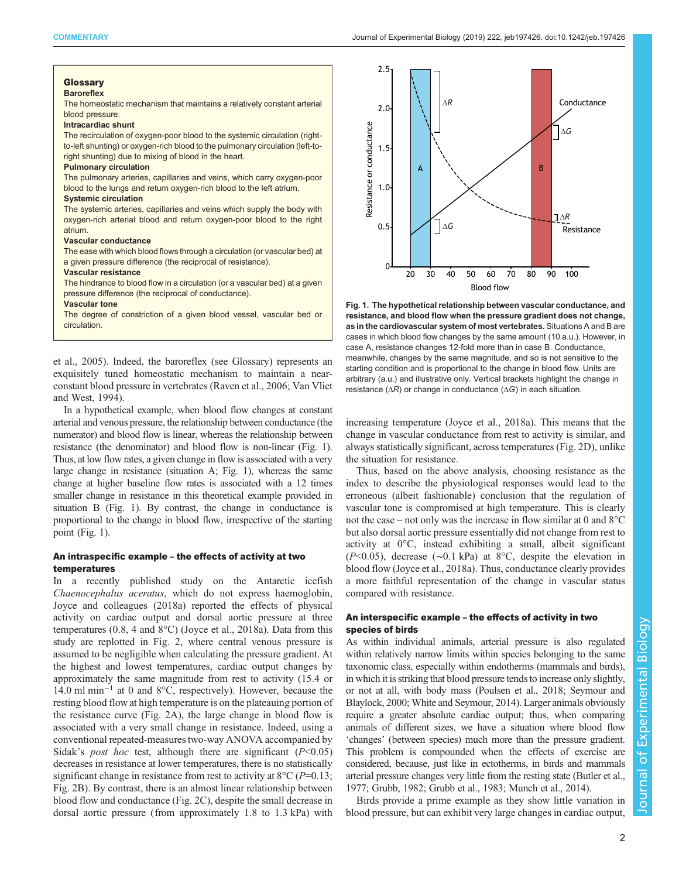#### <span id="page-1-0"></span>Glossary **Baroreflex**

The homeostatic mechanism that maintains a relatively constant arterial blood pressure.

#### Intracardiac shunt

The recirculation of oxygen-poor blood to the systemic circulation (rightto-left shunting) or oxygen-rich blood to the pulmonary circulation (left-toright shunting) due to mixing of blood in the heart.

## Pulmonary circulation

The pulmonary arteries, capillaries and veins, which carry oxygen-poor blood to the lungs and return oxygen-rich blood to the left atrium.

## Systemic circulation

The systemic arteries, capillaries and veins which supply the body with oxygen-rich arterial blood and return oxygen-poor blood to the right atrium.

## Vascular conductance

The ease with which blood flows through a circulation (or vascular bed) at a given pressure difference (the reciprocal of resistance).

## Vascular resistance

The hindrance to blood flow in a circulation (or a vascular bed) at a given pressure difference (the reciprocal of conductance).

#### Vascular tone

The degree of constriction of a given blood vessel, vascular bed or circulation.

[et al., 2005\)](#page-4-0). Indeed, the baroreflex (see Glossary) represents an exquisitely tuned homeostatic mechanism to maintain a nearconstant blood pressure in vertebrates [\(Raven et al., 2006](#page-4-0); [Van Vliet](#page-4-0) [and West, 1994](#page-4-0)).

In a hypothetical example, when blood flow changes at constant arterial and venous pressure, the relationship between conductance (the numerator) and blood flow is linear, whereas the relationship between resistance (the denominator) and blood flow is non-linear (Fig. 1). Thus, at low flow rates, a given change in flow is associated with a very large change in resistance (situation A; Fig. 1), whereas the same change at higher baseline flow rates is associated with a 12 times smaller change in resistance in this theoretical example provided in situation B (Fig. 1). By contrast, the change in conductance is proportional to the change in blood flow, irrespective of the starting point (Fig. 1).

## An intraspecific example – the effects of activity at two temperatures

In a recently published study on the Antarctic icefish Chaenocephalus aceratus, which do not express haemoglobin, [Joyce and colleagues \(2018a\)](#page-4-0) reported the effects of physical activity on cardiac output and dorsal aortic pressure at three temperatures (0.8, 4 and 8°C) [\(Joyce et al., 2018a](#page-4-0)). Data from this study are replotted in [Fig. 2,](#page-2-0) where central venous pressure is assumed to be negligible when calculating the pressure gradient. At the highest and lowest temperatures, cardiac output changes by approximately the same magnitude from rest to activity (15.4 or 14.0 ml min−<sup>1</sup> at 0 and 8°C, respectively). However, because the resting blood flow at high temperature is on the plateauing portion of the resistance curve [\(Fig. 2A](#page-2-0)), the large change in blood flow is associated with a very small change in resistance. Indeed, using a conventional repeated-measures two-way ANOVA accompanied by Sidak's *post hoc* test, although there are significant  $(P<0.05)$ decreases in resistance at lower temperatures, there is no statistically significant change in resistance from rest to activity at  $8^{\circ}$ C (P=0.13; [Fig. 2B](#page-2-0)). By contrast, there is an almost linear relationship between blood flow and conductance [\(Fig. 2](#page-2-0)C), despite the small decrease in dorsal aortic pressure (from approximately 1.8 to 1.3 kPa) with



Fig. 1. The hypothetical relationship between vascular conductance, and resistance, and blood flow when the pressure gradient does not change, as in the cardiovascular system of most vertebrates. Situations A and B are cases in which blood flow changes by the same amount (10 a.u.). However, in case A, resistance changes 12-fold more than in case B. Conductance, meanwhile, changes by the same magnitude, and so is not sensitive to the starting condition and is proportional to the change in blood flow. Units are arbitrary (a.u.) and illustrative only. Vertical brackets highlight the change in resistance  $(\Delta R)$  or change in conductance  $(\Delta G)$  in each situation.

increasing temperature ([Joyce et al., 2018a](#page-4-0)). This means that the change in vascular conductance from rest to activity is similar, and always statistically significant, across temperatures ([Fig. 2](#page-2-0)D), unlike the situation for resistance.

Thus, based on the above analysis, choosing resistance as the index to describe the physiological responses would lead to the erroneous (albeit fashionable) conclusion that the regulation of vascular tone is compromised at high temperature. This is clearly not the case – not only was the increase in flow similar at 0 and 8°C but also dorsal aortic pressure essentially did not change from rest to activity at 0°C, instead exhibiting a small, albeit significant (P<0.05), decrease (∼0.1 kPa) at 8°C, despite the elevation in blood flow [\(Joyce et al., 2018a](#page-4-0)). Thus, conductance clearly provides a more faithful representation of the change in vascular status compared with resistance.

# An interspecific example – the effects of activity in two species of birds

As within individual animals, arterial pressure is also regulated within relatively narrow limits within species belonging to the same taxonomic class, especially within endotherms (mammals and birds), in which it is striking that blood pressure tends to increase only slightly, or not at all, with body mass ([Poulsen et al., 2018; Seymour and](#page-4-0) [Blaylock, 2000; White and Seymour, 2014](#page-4-0)). Larger animals obviously require a greater absolute cardiac output; thus, when comparing animals of different sizes, we have a situation where blood flow 'changes' (between species) much more than the pressure gradient. This problem is compounded when the effects of exercise are considered, because, just like in ectotherms, in birds and mammals arterial pressure changes very little from the resting state ([Butler et al.,](#page-4-0) [1977](#page-4-0); [Grubb, 1982; Grubb et al., 1983; Munch et al., 2014](#page-4-0)).

Birds provide a prime example as they show little variation in blood pressure, but can exhibit very large changes in cardiac output,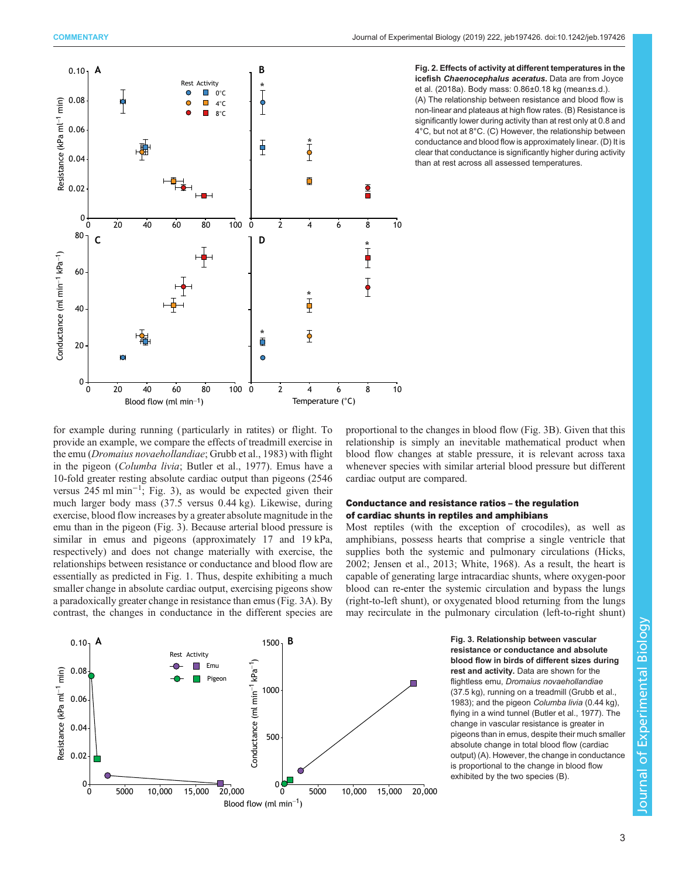<span id="page-2-0"></span>



for example during running ( particularly in ratites) or flight. To provide an example, we compare the effects of treadmill exercise in the emu (Dromaius novaehollandiae; [Grubb et al., 1983](#page-4-0)) with flight in the pigeon (Columba livia; [Butler et al., 1977](#page-4-0)). Emus have a 10-fold greater resting absolute cardiac output than pigeons (2546 versus 245 ml min−<sup>1</sup> ; Fig. 3), as would be expected given their much larger body mass (37.5 versus 0.44 kg). Likewise, during exercise, blood flow increases by a greater absolute magnitude in the emu than in the pigeon (Fig. 3). Because arterial blood pressure is similar in emus and pigeons (approximately 17 and 19 kPa, respectively) and does not change materially with exercise, the relationships between resistance or conductance and blood flow are essentially as predicted in [Fig. 1.](#page-1-0) Thus, despite exhibiting a much smaller change in absolute cardiac output, exercising pigeons show a paradoxically greater change in resistance than emus (Fig. 3A). By contrast, the changes in conductance in the different species are

proportional to the changes in blood flow (Fig. 3B). Given that this relationship is simply an inevitable mathematical product when blood flow changes at stable pressure, it is relevant across taxa whenever species with similar arterial blood pressure but different cardiac output are compared.

# Conductance and resistance ratios – the regulation of cardiac shunts in reptiles and amphibians

Most reptiles (with the exception of crocodiles), as well as amphibians, possess hearts that comprise a single ventricle that supplies both the systemic and pulmonary circulations ([Hicks,](#page-4-0) [2002; Jensen et al., 2013; White, 1968\)](#page-4-0). As a result, the heart is capable of generating large intracardiac shunts, where oxygen-poor blood can re-enter the systemic circulation and bypass the lungs (right-to-left shunt), or oxygenated blood returning from the lungs may recirculate in the pulmonary circulation (left-to-right shunt)



Fig. 3. Relationship between vascular resistance or conductance and absolute blood flow in birds of different sizes during rest and activity. Data are shown for the flightless emu, Dromaius novaehollandiae (37.5 kg), running on a treadmill [\(Grubb et al.,](#page-4-0) [1983](#page-4-0)); and the pigeon Columba livia (0.44 kg), flying in a wind tunnel [\(Butler et al., 1977](#page-4-0)). The change in vascular resistance is greater in pigeons than in emus, despite their much smaller absolute change in total blood flow (cardiac output) (A). However, the change in conductance is proportional to the change in blood flow exhibited by the two species (B).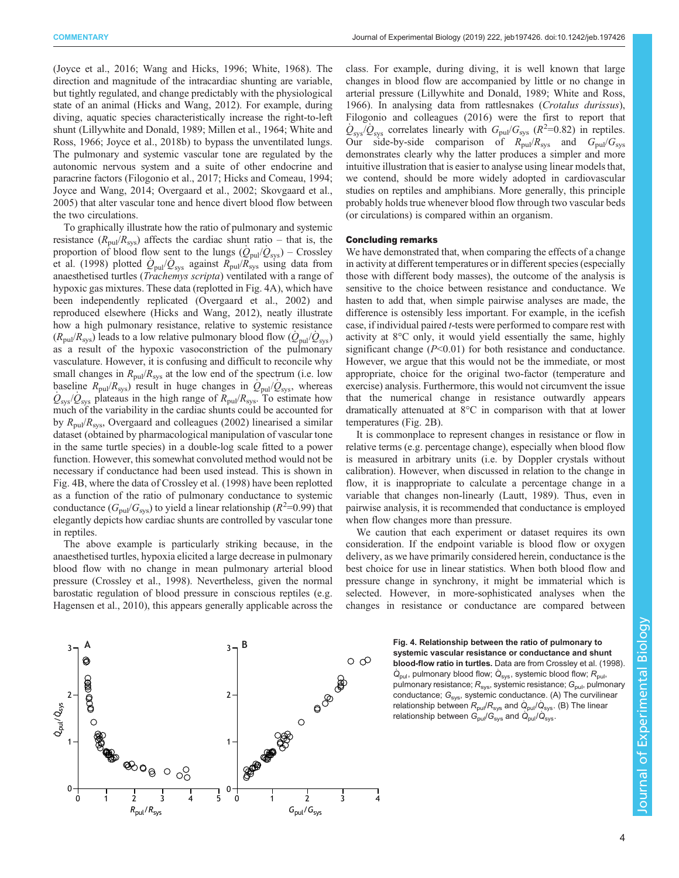[\(Joyce et al., 2016](#page-4-0); [Wang and Hicks, 1996; White, 1968\)](#page-4-0). The direction and magnitude of the intracardiac shunting are variable, but tightly regulated, and change predictably with the physiological state of an animal ([Hicks and Wang, 2012\)](#page-4-0). For example, during diving, aquatic species characteristically increase the right-to-left shunt [\(Lillywhite and Donald, 1989; Millen et al., 1964](#page-4-0); [White and](#page-4-0) [Ross, 1966; Joyce et al., 2018b\)](#page-4-0) to bypass the unventilated lungs. The pulmonary and systemic vascular tone are regulated by the autonomic nervous system and a suite of other endocrine and paracrine factors ([Filogonio et al., 2017; Hicks and Comeau, 1994](#page-4-0); [Joyce and Wang, 2014; Overgaard et al., 2002](#page-4-0); [Skovgaard et al.,](#page-4-0) [2005](#page-4-0)) that alter vascular tone and hence divert blood flow between the two circulations.

To graphically illustrate how the ratio of pulmonary and systemic resistance ( $R_{\text{pul}}/R_{\text{sys}}$ ) affects the cardiac shunt ratio – that is, the proportion of blood flow sent to the lungs  $(Q_{\text{pul}}/Q_{\text{sys}})$  – [Crossley](#page-4-0) [et al. \(1998\)](#page-4-0) plotted  $Q_{\text{pul}}/Q_{\text{sys}}$  against  $R_{\text{pul}}/R_{\text{sys}}$  using data from anaesthetised turtles (Trachemys scripta) ventilated with a range of hypoxic gas mixtures. These data (replotted in Fig. 4A), which have been independently replicated [\(Overgaard et al., 2002](#page-4-0)) and reproduced elsewhere ([Hicks and Wang, 2012](#page-4-0)), neatly illustrate how a high pulmonary resistance, relative to systemic resistance  $(R_{\text{pul}}/R_{\text{sys}})$  leads to a low relative pulmonary blood flow  $(Q_{\text{pul}}/Q_{\text{sys}})$ as a result of the hypoxic vasoconstriction of the pulmonary vasculature. However, it is confusing and difficult to reconcile why small changes in  $R_{\text{pul}}/R_{\text{sys}}$  at the low end of the spectrum (i.e. low baseline  $R_{\text{pul}}/R_{\text{sys}}$  result in huge changes in  $Q_{\text{pul}}/Q_{\text{sys}}$ , whereas  $Q_{\rm sys}/Q_{\rm sys}$  plateaus in the high range of  $R_{\rm pul}/R_{\rm sys}$ . To estimate how much of the variability in the cardiac shunts could be accounted for by  $R_{\text{pul}}/R_{\text{sys}}$ , [Overgaard and colleagues \(2002\)](#page-4-0) linearised a similar dataset (obtained by pharmacological manipulation of vascular tone in the same turtle species) in a double-log scale fitted to a power function. However, this somewhat convoluted method would not be necessary if conductance had been used instead. This is shown in Fig. 4B, where the data of [Crossley et al. \(1998\)](#page-4-0) have been replotted as a function of the ratio of pulmonary conductance to systemic conductance ( $G_{\text{pul}}/G_{\text{sys}}$ ) to yield a linear relationship ( $R^2=0.99$ ) that elegantly depicts how cardiac shunts are controlled by vascular tone in reptiles.

The above example is particularly striking because, in the anaesthetised turtles, hypoxia elicited a large decrease in pulmonary blood flow with no change in mean pulmonary arterial blood pressure [\(Crossley et al., 1998](#page-4-0)). Nevertheless, given the normal barostatic regulation of blood pressure in conscious reptiles (e.g. [Hagensen et al., 2010\)](#page-4-0), this appears generally applicable across the class. For example, during diving, it is well known that large changes in blood flow are accompanied by little or no change in arterial pressure ([Lillywhite and Donald, 1989; White and Ross,](#page-4-0) [1966\)](#page-4-0). In analysing data from rattlesnakes (Crotalus durissus), [Filogonio and colleagues \(2016\)](#page-4-0) were the first to report that  $Q_{\rm sys}/Q_{\rm sys}$  correlates linearly with  $G_{\rm pul}/G_{\rm sys}$  ( $R^2$ =0.82) in reptiles. Our side-by-side comparison of  $R_{\text{pul}}/R_{\text{sys}}$  and  $G_{\text{pul}}/G_{\text{sys}}$ demonstrates clearly why the latter produces a simpler and more intuitive illustration that is easier to analyse using linear models that, we contend, should be more widely adopted in cardiovascular studies on reptiles and amphibians. More generally, this principle probably holds true whenever blood flow through two vascular beds (or circulations) is compared within an organism.

## Concluding remarks

We have demonstrated that, when comparing the effects of a change in activity at different temperatures or in different species (especially those with different body masses), the outcome of the analysis is sensitive to the choice between resistance and conductance. We hasten to add that, when simple pairwise analyses are made, the difference is ostensibly less important. For example, in the icefish case, if individual paired *t*-tests were performed to compare rest with activity at 8°C only, it would yield essentially the same, highly significant change  $(P<0.01)$  for both resistance and conductance. However, we argue that this would not be the immediate, or most appropriate, choice for the original two-factor (temperature and exercise) analysis. Furthermore, this would not circumvent the issue that the numerical change in resistance outwardly appears dramatically attenuated at 8°C in comparison with that at lower temperatures ([Fig. 2B](#page-2-0)).

It is commonplace to represent changes in resistance or flow in relative terms (e.g. percentage change), especially when blood flow is measured in arbitrary units (i.e. by Doppler crystals without calibration). However, when discussed in relation to the change in flow, it is inappropriate to calculate a percentage change in a variable that changes non-linearly [\(Lautt, 1989\)](#page-4-0). Thus, even in pairwise analysis, it is recommended that conductance is employed when flow changes more than pressure.

We caution that each experiment or dataset requires its own consideration. If the endpoint variable is blood flow or oxygen delivery, as we have primarily considered herein, conductance is the best choice for use in linear statistics. When both blood flow and pressure change in synchrony, it might be immaterial which is selected. However, in more-sophisticated analyses when the changes in resistance or conductance are compared between



 **B** Fig. 4. Relationship between the ratio of pulmonary to systemic vascular resistance or conductance and shunt blood-flow ratio in turtles. Data are from [Crossley et al. \(1998\).](#page-4-0)  $\dot{Q}_{\text{pul}}$ , pulmonary blood flow;  $\dot{Q}_{\text{sys}}$ , systemic blood flow;  $R_{\text{pul}}$ , pulmonary resistance;  $R_{\text{sys}}$ , systemic resistance;  $G_{\text{pub}}$ , pulmonary conductance;  $G_{sys}$ , systemic conductance. (A) The curvilinear relationship between  $R_{\text{pul}}/R_{\text{sys}}$  and  $\dot{Q}_{\text{pul}}/\dot{Q}_{\text{sys}}$ . (B) The linear relationship between  $G_{\text{pul}}/G_{\text{sys}}$  and  $\dot{Q}_{\text{pul}}/\dot{Q}_{\text{sys}}$ .